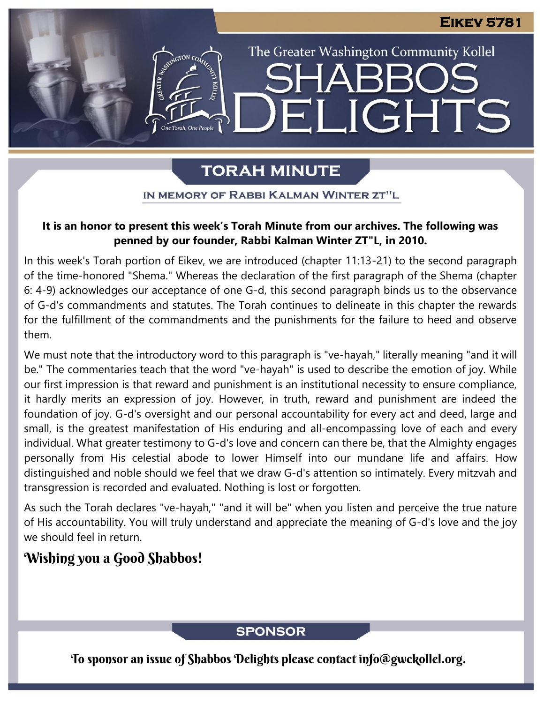The Greater Washington Community Kollel

ELIGHTS

# **TORAH MINUTE**

IN MEMORY OF RABBI KALMAN WINTER ZT"L

#### It is an honor to present this week's Torah Minute from our archives. The following was **penned by our founder, Rabbi Kalman Winter ZT"L, in 2010. Presented by Carl Founder, Rabbi Ramman** Winter **Art A**y in Los

In this week's Torah portion of Eikev, we are introduced (chapter 11:13-21) to the second paragraph of the time-honored "Shema." Whereas the declaration of the first paragraph of the Shema (chapter 6: 4-9) acknowledges our acceptance of one G-d, this second paragraph binds us to the observance of G-d's commandments and statutes. The Torah continues to delineate in this chapter the rewards for the fulfillment of the commandments and the punishments for the failure to heed and observe them.

We must note that the introductory word to this paragraph is "ve-hayah," literally meaning "and it will be." The commentaries teach that the word "ve-hayah" is used to describe the emotion of joy. While our first impression is that reward and punishment is an institutional necessity to ensure compliance, it hardly merits an expression of joy. However, in truth, reward and punishment are indeed the foundation of joy. G-d's oversight and our personal accountability for every act and deed, large and small, is the greatest manifestation of His enduring and all-encompassing love of each and every individual. What greater testimony to G-d's love and concern can there be, that the Almighty engages personally from His celestial abode to lower Himself into our mundane life and affairs. How distinguished and noble should we feel that we draw G-d's attention so intimately. Every mitzvah and transgression is recorded and evaluated. Nothing is lost or forgotten.

As such the Torah declares "ve-hayah," "and it will be" when you listen and perceive the true nature of His accountability. You will truly understand and appreciate the meaning of G-d's love and the joy we should feel in return.

## Wishing you a Good Shabbos!

## **SPONSOR**

To sponsor an issue of Shabbos Delights please contact info@gwckollel.org.